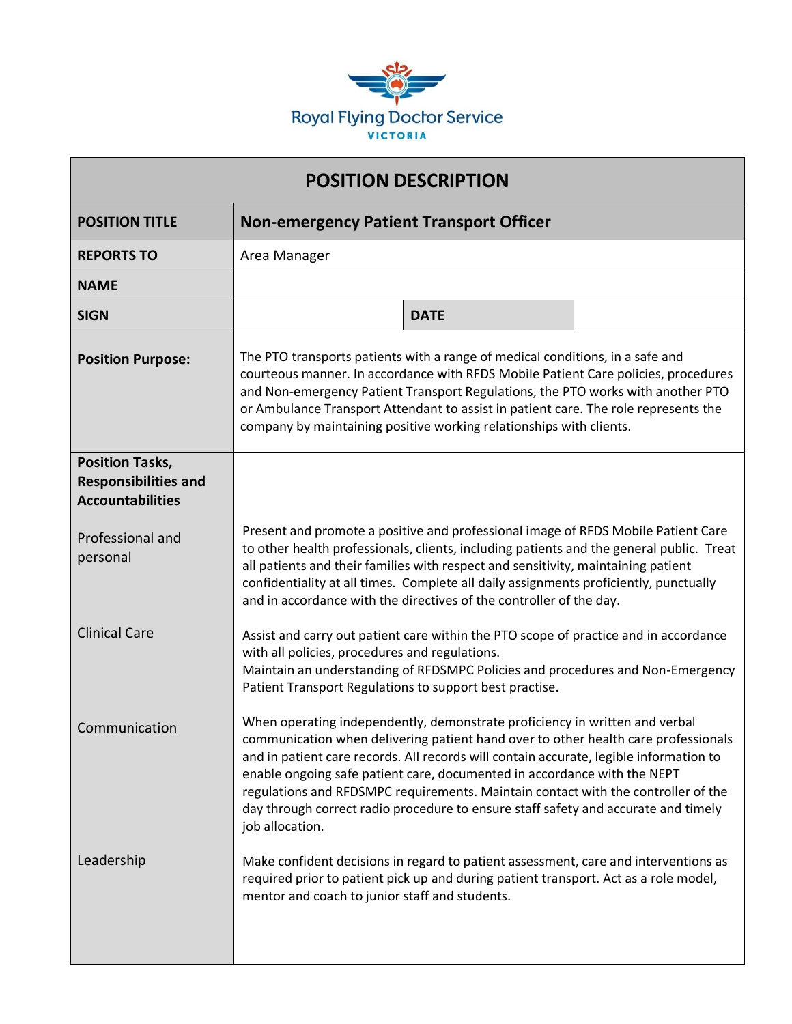

| <b>POSITION DESCRIPTION</b>                                                      |                                                                                                                                                                                                                                                                                                                                                                                                                      |                                                                                                                                                                                                                                                                                                                                                                                                                                                                                                                    |  |
|----------------------------------------------------------------------------------|----------------------------------------------------------------------------------------------------------------------------------------------------------------------------------------------------------------------------------------------------------------------------------------------------------------------------------------------------------------------------------------------------------------------|--------------------------------------------------------------------------------------------------------------------------------------------------------------------------------------------------------------------------------------------------------------------------------------------------------------------------------------------------------------------------------------------------------------------------------------------------------------------------------------------------------------------|--|
| <b>POSITION TITLE</b>                                                            | <b>Non-emergency Patient Transport Officer</b>                                                                                                                                                                                                                                                                                                                                                                       |                                                                                                                                                                                                                                                                                                                                                                                                                                                                                                                    |  |
| <b>REPORTS TO</b>                                                                | Area Manager                                                                                                                                                                                                                                                                                                                                                                                                         |                                                                                                                                                                                                                                                                                                                                                                                                                                                                                                                    |  |
| <b>NAME</b>                                                                      |                                                                                                                                                                                                                                                                                                                                                                                                                      |                                                                                                                                                                                                                                                                                                                                                                                                                                                                                                                    |  |
| <b>SIGN</b>                                                                      |                                                                                                                                                                                                                                                                                                                                                                                                                      | <b>DATE</b>                                                                                                                                                                                                                                                                                                                                                                                                                                                                                                        |  |
| <b>Position Purpose:</b>                                                         | The PTO transports patients with a range of medical conditions, in a safe and<br>courteous manner. In accordance with RFDS Mobile Patient Care policies, procedures<br>and Non-emergency Patient Transport Regulations, the PTO works with another PTO<br>or Ambulance Transport Attendant to assist in patient care. The role represents the<br>company by maintaining positive working relationships with clients. |                                                                                                                                                                                                                                                                                                                                                                                                                                                                                                                    |  |
| <b>Position Tasks,</b><br><b>Responsibilities and</b><br><b>Accountabilities</b> |                                                                                                                                                                                                                                                                                                                                                                                                                      |                                                                                                                                                                                                                                                                                                                                                                                                                                                                                                                    |  |
| Professional and<br>personal                                                     |                                                                                                                                                                                                                                                                                                                                                                                                                      | Present and promote a positive and professional image of RFDS Mobile Patient Care<br>to other health professionals, clients, including patients and the general public. Treat<br>all patients and their families with respect and sensitivity, maintaining patient<br>confidentiality at all times. Complete all daily assignments proficiently, punctually<br>and in accordance with the directives of the controller of the day.                                                                                 |  |
| <b>Clinical Care</b>                                                             | with all policies, procedures and regulations.<br>Patient Transport Regulations to support best practise.                                                                                                                                                                                                                                                                                                            | Assist and carry out patient care within the PTO scope of practice and in accordance<br>Maintain an understanding of RFDSMPC Policies and procedures and Non-Emergency                                                                                                                                                                                                                                                                                                                                             |  |
| Communication                                                                    | job allocation.                                                                                                                                                                                                                                                                                                                                                                                                      | When operating independently, demonstrate proficiency in written and verbal<br>communication when delivering patient hand over to other health care professionals<br>and in patient care records. All records will contain accurate, legible information to<br>enable ongoing safe patient care, documented in accordance with the NEPT<br>regulations and RFDSMPC requirements. Maintain contact with the controller of the<br>day through correct radio procedure to ensure staff safety and accurate and timely |  |
| Leadership                                                                       | mentor and coach to junior staff and students.                                                                                                                                                                                                                                                                                                                                                                       | Make confident decisions in regard to patient assessment, care and interventions as<br>required prior to patient pick up and during patient transport. Act as a role model,                                                                                                                                                                                                                                                                                                                                        |  |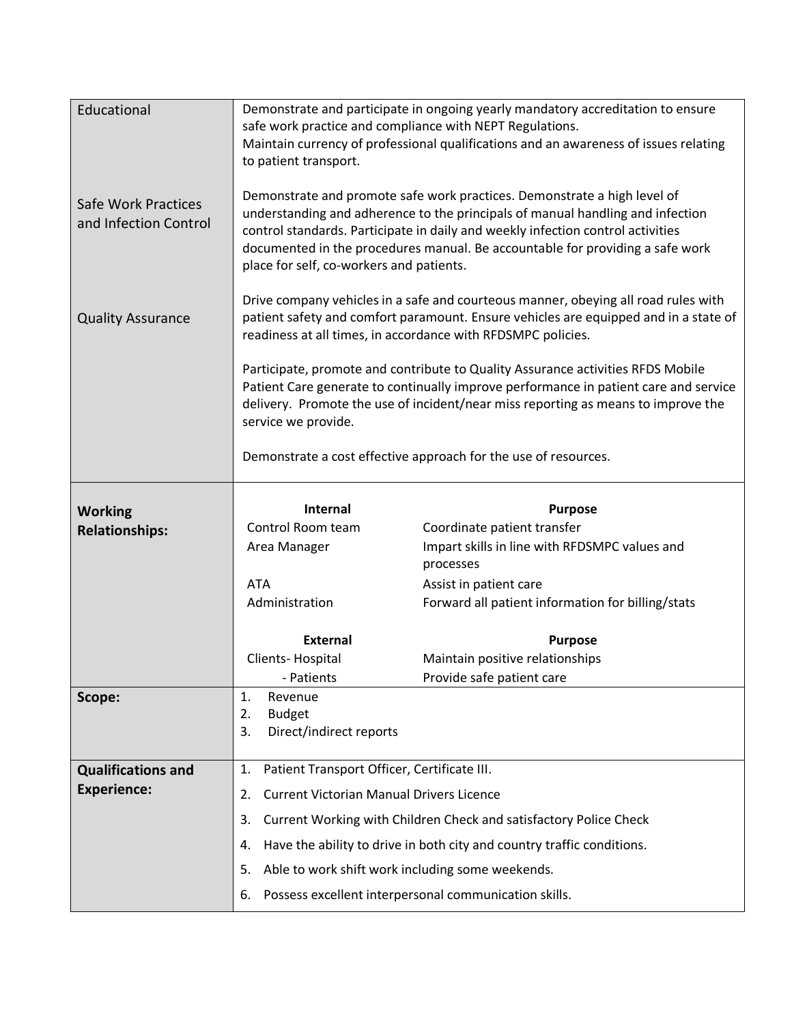| Educational                                  | Demonstrate and participate in ongoing yearly mandatory accreditation to ensure<br>safe work practice and compliance with NEPT Regulations.<br>Maintain currency of professional qualifications and an awareness of issues relating<br>to patient transport.                                                                                                               |                                                                        |  |
|----------------------------------------------|----------------------------------------------------------------------------------------------------------------------------------------------------------------------------------------------------------------------------------------------------------------------------------------------------------------------------------------------------------------------------|------------------------------------------------------------------------|--|
| Safe Work Practices<br>and Infection Control | Demonstrate and promote safe work practices. Demonstrate a high level of<br>understanding and adherence to the principals of manual handling and infection<br>control standards. Participate in daily and weekly infection control activities<br>documented in the procedures manual. Be accountable for providing a safe work<br>place for self, co-workers and patients. |                                                                        |  |
| <b>Quality Assurance</b>                     | Drive company vehicles in a safe and courteous manner, obeying all road rules with<br>patient safety and comfort paramount. Ensure vehicles are equipped and in a state of<br>readiness at all times, in accordance with RFDSMPC policies.                                                                                                                                 |                                                                        |  |
|                                              | Participate, promote and contribute to Quality Assurance activities RFDS Mobile<br>Patient Care generate to continually improve performance in patient care and service<br>delivery. Promote the use of incident/near miss reporting as means to improve the<br>service we provide.                                                                                        |                                                                        |  |
|                                              | Demonstrate a cost effective approach for the use of resources.                                                                                                                                                                                                                                                                                                            |                                                                        |  |
| <b>Working</b>                               | Internal                                                                                                                                                                                                                                                                                                                                                                   | <b>Purpose</b>                                                         |  |
| <b>Relationships:</b>                        | Control Room team                                                                                                                                                                                                                                                                                                                                                          | Coordinate patient transfer                                            |  |
|                                              | Area Manager                                                                                                                                                                                                                                                                                                                                                               | Impart skills in line with RFDSMPC values and<br>processes             |  |
|                                              | <b>ATA</b>                                                                                                                                                                                                                                                                                                                                                                 | Assist in patient care                                                 |  |
|                                              | Administration                                                                                                                                                                                                                                                                                                                                                             | Forward all patient information for billing/stats                      |  |
|                                              |                                                                                                                                                                                                                                                                                                                                                                            |                                                                        |  |
|                                              | <b>External</b>                                                                                                                                                                                                                                                                                                                                                            | <b>Purpose</b>                                                         |  |
|                                              | Clients-Hospital                                                                                                                                                                                                                                                                                                                                                           | Maintain positive relationships                                        |  |
|                                              | - Patients                                                                                                                                                                                                                                                                                                                                                                 | Provide safe patient care                                              |  |
| Scope:                                       | 1.<br>Revenue                                                                                                                                                                                                                                                                                                                                                              |                                                                        |  |
|                                              | <b>Budget</b><br>2.                                                                                                                                                                                                                                                                                                                                                        |                                                                        |  |
|                                              | Direct/indirect reports<br>3.                                                                                                                                                                                                                                                                                                                                              |                                                                        |  |
| <b>Qualifications and</b>                    | Patient Transport Officer, Certificate III.<br>1.                                                                                                                                                                                                                                                                                                                          |                                                                        |  |
| <b>Experience:</b>                           | <b>Current Victorian Manual Drivers Licence</b><br>2.                                                                                                                                                                                                                                                                                                                      |                                                                        |  |
|                                              | 3.                                                                                                                                                                                                                                                                                                                                                                         | Current Working with Children Check and satisfactory Police Check      |  |
|                                              | 4.                                                                                                                                                                                                                                                                                                                                                                         | Have the ability to drive in both city and country traffic conditions. |  |
|                                              | Able to work shift work including some weekends.<br>5.                                                                                                                                                                                                                                                                                                                     |                                                                        |  |